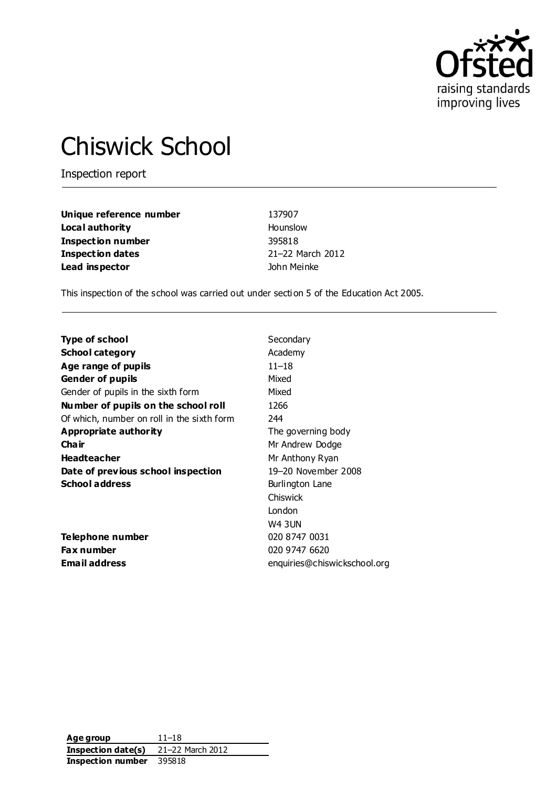

# Chiswick School

Inspection report

| Unique reference number  | 137907           |
|--------------------------|------------------|
| Local authority          | Hounslow         |
| <b>Inspection number</b> | 395818           |
| <b>Inspection dates</b>  | 21-22 March 2012 |
| Lead inspector           | John Meinke      |

This inspection of the school was carried out under section 5 of the Education Act 2005.

| Type of school                             | Secondary                    |
|--------------------------------------------|------------------------------|
| <b>School category</b>                     | Academy                      |
| Age range of pupils                        | 11–18                        |
| <b>Gender of pupils</b>                    | Mixed                        |
| Gender of pupils in the sixth form         | Mixed                        |
| Number of pupils on the school roll        | 1266                         |
| Of which, number on roll in the sixth form | 244                          |
| Appropriate authority                      | The governing body           |
| Cha ir                                     | Mr Andrew Dodge              |
| <b>Headteacher</b>                         | Mr Anthony Ryan              |
| Date of previous school inspection         | 19-20 November 2008          |
| <b>School address</b>                      | Burlington Lane              |
|                                            | Chiswick                     |
|                                            | London                       |
|                                            | <b>W4 3UN</b>                |
| Telephone number                           | 020 8747 0031                |
| <b>Fax number</b>                          | 020 9747 6620                |
| <b>Email address</b>                       | enquiries@chiswickschool.org |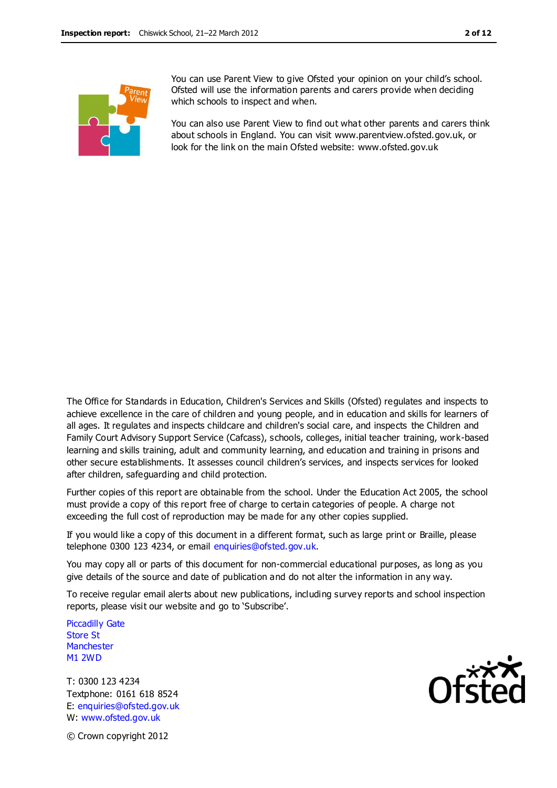You can use Parent View to give Ofsted your opinion on your child's school. Ofsted will use the information parents and carers provide when deciding which schools to inspect and when.

You can also use Parent View to find out what other parents and carers think about schools in England. You can visit www.parentview.ofsted.gov.uk, or look for the link on the main Ofsted website: www.ofsted.gov.uk

The Office for Standards in Education, Children's Services and Skills (Ofsted) regulates and inspects to achieve excellence in the care of children and young people, and in education and skills for learners of all ages. It regulates and inspects childcare and children's social care, and inspects the Children and Family Court Advisory Support Service (Cafcass), schools, colleges, initial teacher training, work-based learning and skills training, adult and community learning, and education and training in prisons and other secure establishments. It assesses council children's services, and inspects services for looked after children, safeguarding and child protection.

Further copies of this report are obtainable from the school. Under the Education Act 2005, the school must provide a copy of this report free of charge to certain categories of people. A charge not exceeding the full cost of reproduction may be made for any other copies supplied.

If you would like a copy of this document in a different format, such as large print or Braille, please telephone 0300 123 4234, or email enquiries@ofsted.gov.uk.

You may copy all or parts of this document for non-commercial educational purposes, as long as you give details of the source and date of publication and do not alter the information in any way.

To receive regular email alerts about new publications, including survey reports and school inspection reports, please visit our website and go to 'Subscribe'.

Piccadilly Gate Store St **Manchester** M1 2WD

T: 0300 123 4234 Textphone: 0161 618 8524 E: enquiries@ofsted.gov.uk W: www.ofsted.gov.uk



© Crown copyright 2012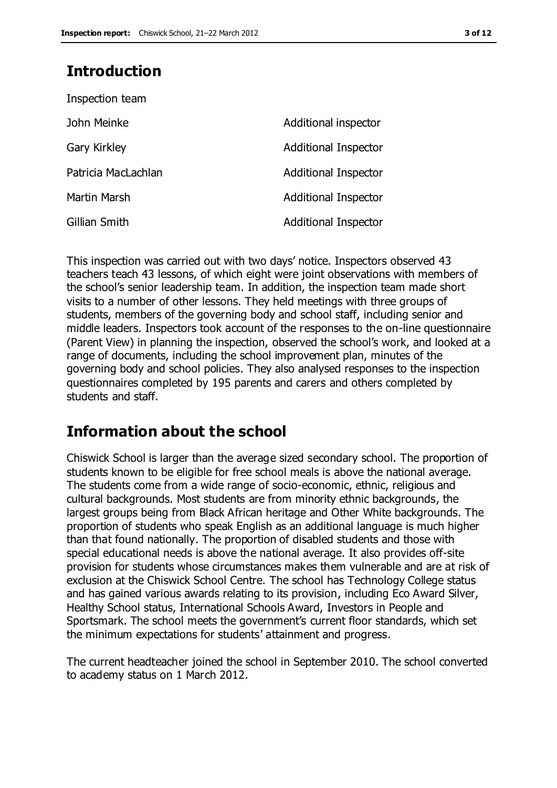# **Introduction**

| Inspection team     |                             |
|---------------------|-----------------------------|
| John Meinke         | Additional inspector        |
| Gary Kirkley        | Additional Inspector        |
| Patricia MacLachlan | <b>Additional Inspector</b> |
| Martin Marsh        | <b>Additional Inspector</b> |
| Gillian Smith       | <b>Additional Inspector</b> |

This inspection was carried out with two days' notice. Inspectors observed 43 teachers teach 43 lessons, of which eight were joint observations with members of the school's senior leadership team. In addition, the inspection team made short visits to a number of other lessons. They held meetings with three groups of students, members of the governing body and school staff, including senior and middle leaders. Inspectors took account of the responses to the on-line questionnaire (Parent View) in planning the inspection, observed the school's work, and looked at a range of documents, including the school improvement plan, minutes of the governing body and school policies. They also analysed responses to the inspection questionnaires completed by 195 parents and carers and others completed by students and staff.

# **Information about the school**

Chiswick School is larger than the average sized secondary school. The proportion of students known to be eligible for free school meals is above the national average. The students come from a wide range of socio-economic, ethnic, religious and cultural backgrounds. Most students are from minority ethnic backgrounds, the largest groups being from Black African heritage and Other White backgrounds. The proportion of students who speak English as an additional language is much higher than that found nationally. The proportion of disabled students and those with special educational needs is above the national average. It also provides off-site provision for students whose circumstances makes them vulnerable and are at risk of exclusion at the Chiswick School Centre. The school has Technology College status and has gained various awards relating to its provision, including Eco Award Silver, Healthy School status, International Schools Award, Investors in People and Sportsmark. The school meets the government's current floor standards, which set the minimum expectations for students' attainment and progress.

The current headteacher joined the school in September 2010. The school converted to academy status on 1 March 2012.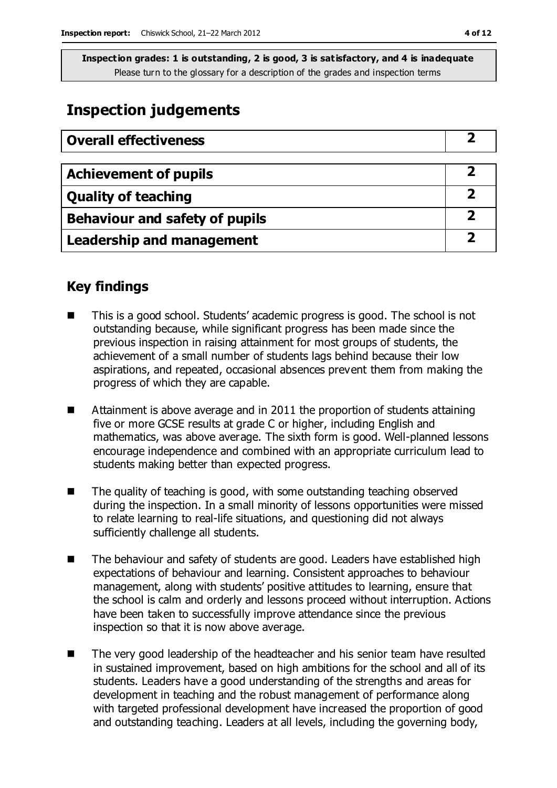## **Inspection judgements**

| <b>Overall effectiveness</b>          |  |
|---------------------------------------|--|
|                                       |  |
| <b>Achievement of pupils</b>          |  |
| <b>Quality of teaching</b>            |  |
| <b>Behaviour and safety of pupils</b> |  |
| <b>Leadership and management</b>      |  |

## **Key findings**

- This is a good school. Students' academic progress is good. The school is not outstanding because, while significant progress has been made since the previous inspection in raising attainment for most groups of students, the achievement of a small number of students lags behind because their low aspirations, and repeated, occasional absences prevent them from making the progress of which they are capable.
- Attainment is above average and in 2011 the proportion of students attaining five or more GCSE results at grade C or higher, including English and mathematics, was above average. The sixth form is good. Well-planned lessons encourage independence and combined with an appropriate curriculum lead to students making better than expected progress.
- $\blacksquare$  The quality of teaching is good, with some outstanding teaching observed during the inspection. In a small minority of lessons opportunities were missed to relate learning to real-life situations, and questioning did not always sufficiently challenge all students.
- The behaviour and safety of students are good. Leaders have established high expectations of behaviour and learning. Consistent approaches to behaviour management, along with students' positive attitudes to learning, ensure that the school is calm and orderly and lessons proceed without interruption. Actions have been taken to successfully improve attendance since the previous inspection so that it is now above average.
- The very good leadership of the headteacher and his senior team have resulted in sustained improvement, based on high ambitions for the school and all of its students. Leaders have a good understanding of the strengths and areas for development in teaching and the robust management of performance along with targeted professional development have increased the proportion of good and outstanding teaching. Leaders at all levels, including the governing body,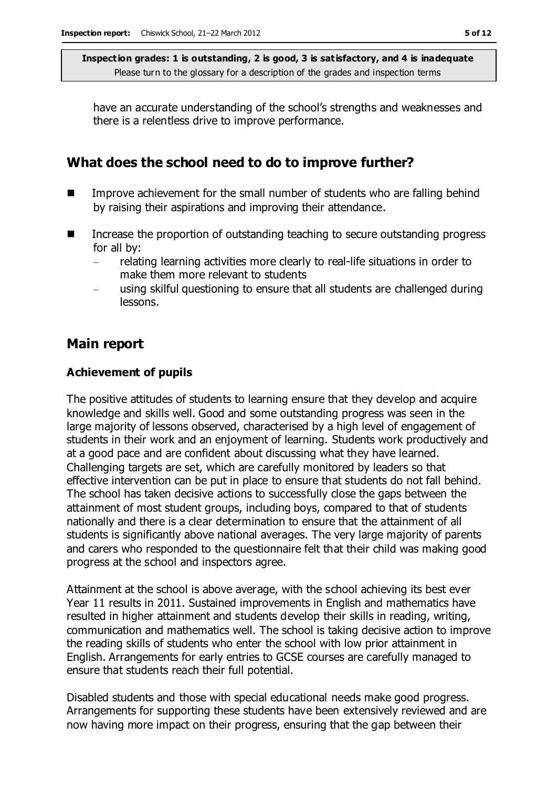have an accurate understanding of the school's strengths and weaknesses and there is a relentless drive to improve performance.

## **What does the school need to do to improve further?**

- Improve achievement for the small number of students who are falling behind by raising their aspirations and improving their attendance.
- Increase the proportion of outstanding teaching to secure outstanding progress for all by:
	- relating learning activities more clearly to real-life situations in order to make them more relevant to students
	- using skilful questioning to ensure that all students are challenged during lessons.

## **Main report**

#### **Achievement of pupils**

The positive attitudes of students to learning ensure that they develop and acquire knowledge and skills well. Good and some outstanding progress was seen in the large majority of lessons observed, characterised by a high level of engagement of students in their work and an enjoyment of learning. Students work productively and at a good pace and are confident about discussing what they have learned. Challenging targets are set, which are carefully monitored by leaders so that effective intervention can be put in place to ensure that students do not fall behind. The school has taken decisive actions to successfully close the gaps between the attainment of most student groups, including boys, compared to that of students nationally and there is a clear determination to ensure that the attainment of all students is significantly above national averages. The very large majority of parents and carers who responded to the questionnaire felt that their child was making good progress at the school and inspectors agree.

Attainment at the school is above average, with the school achieving its best ever Year 11 results in 2011. Sustained improvements in English and mathematics have resulted in higher attainment and students develop their skills in reading, writing, communication and mathematics well. The school is taking decisive action to improve the reading skills of students who enter the school with low prior attainment in English. Arrangements for early entries to GCSE courses are carefully managed to ensure that students reach their full potential.

Disabled students and those with special educational needs make good progress. Arrangements for supporting these students have been extensively reviewed and are now having more impact on their progress, ensuring that the gap between their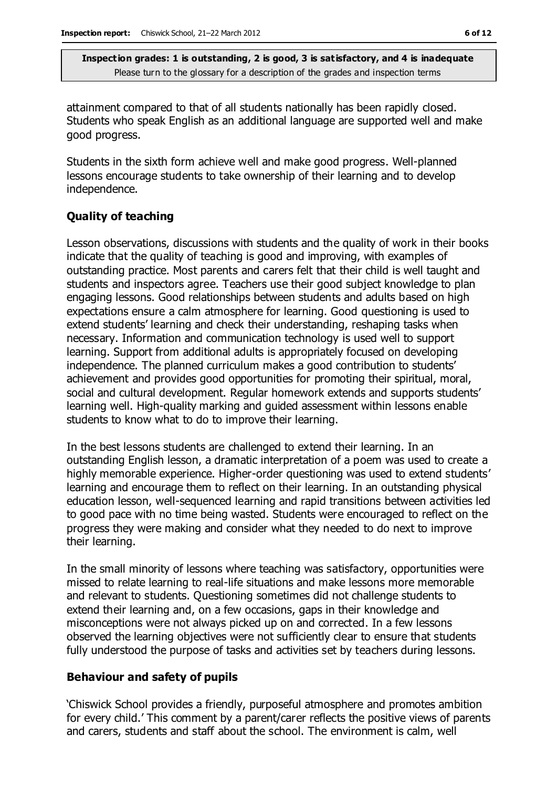attainment compared to that of all students nationally has been rapidly closed. Students who speak English as an additional language are supported well and make good progress.

Students in the sixth form achieve well and make good progress. Well-planned lessons encourage students to take ownership of their learning and to develop independence.

#### **Quality of teaching**

Lesson observations, discussions with students and the quality of work in their books indicate that the quality of teaching is good and improving, with examples of outstanding practice. Most parents and carers felt that their child is well taught and students and inspectors agree. Teachers use their good subject knowledge to plan engaging lessons. Good relationships between students and adults based on high expectations ensure a calm atmosphere for learning. Good questioning is used to extend students' learning and check their understanding, reshaping tasks when necessary. Information and communication technology is used well to support learning. Support from additional adults is appropriately focused on developing independence. The planned curriculum makes a good contribution to students' achievement and provides good opportunities for promoting their spiritual, moral, social and cultural development. Regular homework extends and supports students' learning well. High-quality marking and guided assessment within lessons enable students to know what to do to improve their learning.

In the best lessons students are challenged to extend their learning. In an outstanding English lesson, a dramatic interpretation of a poem was used to create a highly memorable experience. Higher-order questioning was used to extend students' learning and encourage them to reflect on their learning. In an outstanding physical education lesson, well-sequenced learning and rapid transitions between activities led to good pace with no time being wasted. Students were encouraged to reflect on the progress they were making and consider what they needed to do next to improve their learning.

In the small minority of lessons where teaching was satisfactory, opportunities were missed to relate learning to real-life situations and make lessons more memorable and relevant to students. Questioning sometimes did not challenge students to extend their learning and, on a few occasions, gaps in their knowledge and misconceptions were not always picked up on and corrected. In a few lessons observed the learning objectives were not sufficiently clear to ensure that students fully understood the purpose of tasks and activities set by teachers during lessons.

#### **Behaviour and safety of pupils**

'Chiswick School provides a friendly, purposeful atmosphere and promotes ambition for every child.' This comment by a parent/carer reflects the positive views of parents and carers, students and staff about the school. The environment is calm, well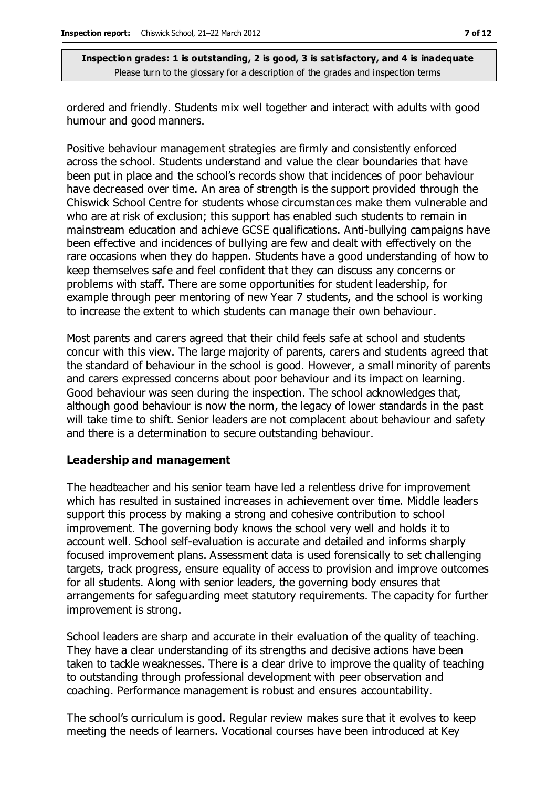ordered and friendly. Students mix well together and interact with adults with good humour and good manners.

Positive behaviour management strategies are firmly and consistently enforced across the school. Students understand and value the clear boundaries that have been put in place and the school's records show that incidences of poor behaviour have decreased over time. An area of strength is the support provided through the Chiswick School Centre for students whose circumstances make them vulnerable and who are at risk of exclusion; this support has enabled such students to remain in mainstream education and achieve GCSE qualifications. Anti-bullying campaigns have been effective and incidences of bullying are few and dealt with effectively on the rare occasions when they do happen. Students have a good understanding of how to keep themselves safe and feel confident that they can discuss any concerns or problems with staff. There are some opportunities for student leadership, for example through peer mentoring of new Year 7 students, and the school is working to increase the extent to which students can manage their own behaviour.

Most parents and carers agreed that their child feels safe at school and students concur with this view. The large majority of parents, carers and students agreed that the standard of behaviour in the school is good. However, a small minority of parents and carers expressed concerns about poor behaviour and its impact on learning. Good behaviour was seen during the inspection. The school acknowledges that, although good behaviour is now the norm, the legacy of lower standards in the past will take time to shift. Senior leaders are not complacent about behaviour and safety and there is a determination to secure outstanding behaviour.

#### **Leadership and management**

The headteacher and his senior team have led a relentless drive for improvement which has resulted in sustained increases in achievement over time. Middle leaders support this process by making a strong and cohesive contribution to school improvement. The governing body knows the school very well and holds it to account well. School self-evaluation is accurate and detailed and informs sharply focused improvement plans. Assessment data is used forensically to set challenging targets, track progress, ensure equality of access to provision and improve outcomes for all students. Along with senior leaders, the governing body ensures that arrangements for safeguarding meet statutory requirements. The capacity for further improvement is strong.

School leaders are sharp and accurate in their evaluation of the quality of teaching. They have a clear understanding of its strengths and decisive actions have been taken to tackle weaknesses. There is a clear drive to improve the quality of teaching to outstanding through professional development with peer observation and coaching. Performance management is robust and ensures accountability.

The school's curriculum is good. Regular review makes sure that it evolves to keep meeting the needs of learners. Vocational courses have been introduced at Key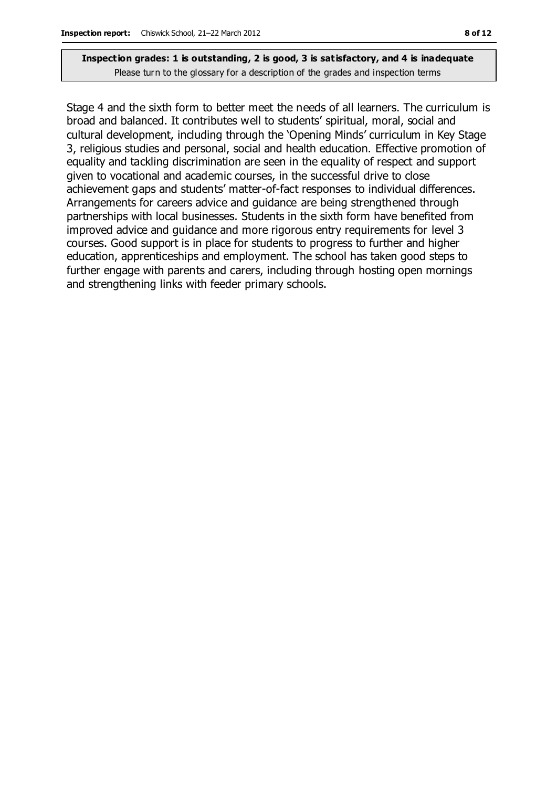Stage 4 and the sixth form to better meet the needs of all learners. The curriculum is broad and balanced. It contributes well to students' spiritual, moral, social and cultural development, including through the 'Opening Minds' curriculum in Key Stage 3, religious studies and personal, social and health education. Effective promotion of equality and tackling discrimination are seen in the equality of respect and support given to vocational and academic courses, in the successful drive to close achievement gaps and students' matter-of-fact responses to individual differences. Arrangements for careers advice and guidance are being strengthened through partnerships with local businesses. Students in the sixth form have benefited from improved advice and guidance and more rigorous entry requirements for level 3 courses. Good support is in place for students to progress to further and higher education, apprenticeships and employment. The school has taken good steps to further engage with parents and carers, including through hosting open mornings and strengthening links with feeder primary schools.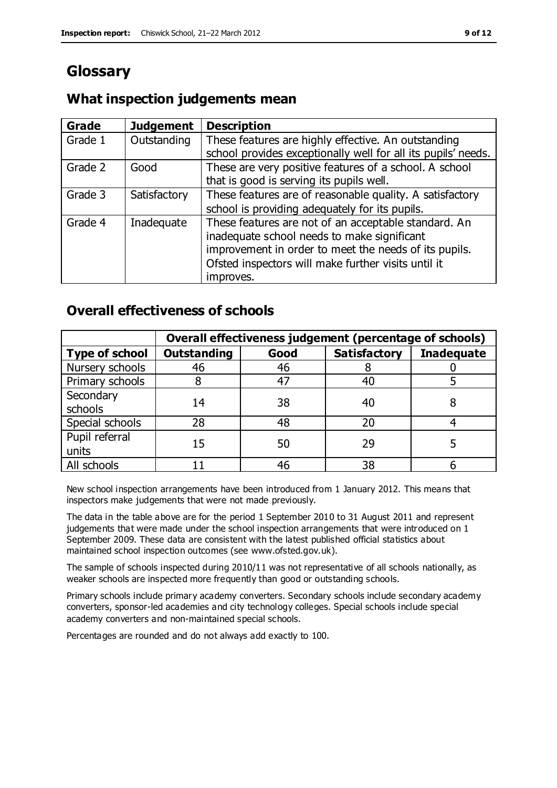# **Glossary**

## **What inspection judgements mean**

| Grade   | <b>Judgement</b> | <b>Description</b>                                                                                                                                                                                                               |
|---------|------------------|----------------------------------------------------------------------------------------------------------------------------------------------------------------------------------------------------------------------------------|
| Grade 1 | Outstanding      | These features are highly effective. An outstanding<br>school provides exceptionally well for all its pupils' needs.                                                                                                             |
| Grade 2 | Good             | These are very positive features of a school. A school<br>that is good is serving its pupils well.                                                                                                                               |
| Grade 3 | Satisfactory     | These features are of reasonable quality. A satisfactory<br>school is providing adequately for its pupils.                                                                                                                       |
| Grade 4 | Inadequate       | These features are not of an acceptable standard. An<br>inadequate school needs to make significant<br>improvement in order to meet the needs of its pupils.<br>Ofsted inspectors will make further visits until it<br>improves. |

## **Overall effectiveness of schools**

|                         | Overall effectiveness judgement (percentage of schools) |      |                     |                   |
|-------------------------|---------------------------------------------------------|------|---------------------|-------------------|
| <b>Type of school</b>   | <b>Outstanding</b>                                      | Good | <b>Satisfactory</b> | <b>Inadequate</b> |
| Nursery schools         | 46                                                      | 46   |                     |                   |
| Primary schools         |                                                         | 47   | 40                  |                   |
| Secondary<br>schools    | 14                                                      | 38   | 40                  |                   |
| Special schools         | 28                                                      | 48   | 20                  |                   |
| Pupil referral<br>units | 15                                                      | 50   | 29                  |                   |
| All schools             |                                                         | 46   | 38                  |                   |

New school inspection arrangements have been introduced from 1 January 2012. This means that inspectors make judgements that were not made previously.

The data in the table above are for the period 1 September 2010 to 31 August 2011 and represent judgements that were made under the school inspection arrangements that were introduced on 1 September 2009. These data are consistent with the latest published official statistics about maintained school inspection outcomes (see www.ofsted.gov.uk).

The sample of schools inspected during 2010/11 was not representative of all schools nationally, as weaker schools are inspected more frequently than good or outstanding schools.

Primary schools include primary academy converters. Secondary schools include secondary academy converters, sponsor-led academies and city technology colleges. Special schools include special academy converters and non-maintained special schools.

Percentages are rounded and do not always add exactly to 100.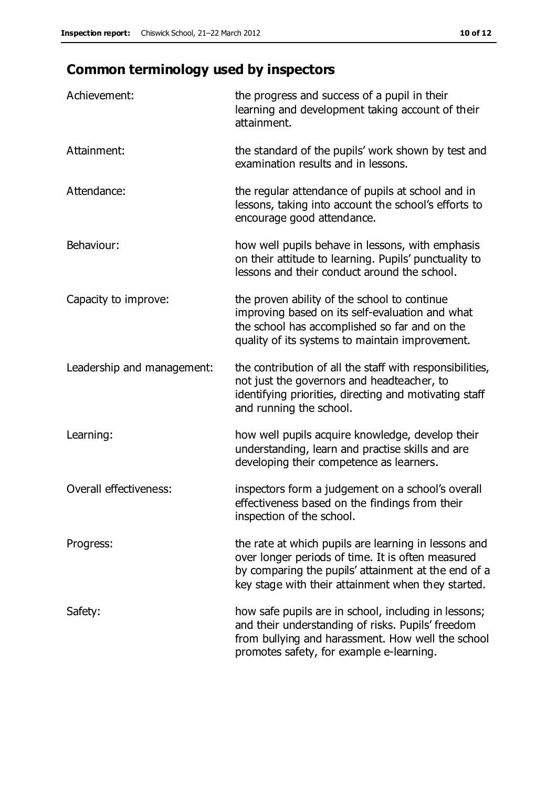# **Common terminology used by inspectors**

| Achievement:               | the progress and success of a pupil in their<br>learning and development taking account of their<br>attainment.                                                                                                        |
|----------------------------|------------------------------------------------------------------------------------------------------------------------------------------------------------------------------------------------------------------------|
| Attainment:                | the standard of the pupils' work shown by test and<br>examination results and in lessons.                                                                                                                              |
| Attendance:                | the regular attendance of pupils at school and in<br>lessons, taking into account the school's efforts to<br>encourage good attendance.                                                                                |
| Behaviour:                 | how well pupils behave in lessons, with emphasis<br>on their attitude to learning. Pupils' punctuality to<br>lessons and their conduct around the school.                                                              |
| Capacity to improve:       | the proven ability of the school to continue<br>improving based on its self-evaluation and what<br>the school has accomplished so far and on the<br>quality of its systems to maintain improvement.                    |
| Leadership and management: | the contribution of all the staff with responsibilities,<br>not just the governors and headteacher, to<br>identifying priorities, directing and motivating staff<br>and running the school.                            |
| Learning:                  | how well pupils acquire knowledge, develop their<br>understanding, learn and practise skills and are<br>developing their competence as learners.                                                                       |
| Overall effectiveness:     | inspectors form a judgement on a school's overall<br>effectiveness based on the findings from their<br>inspection of the school.                                                                                       |
| Progress:                  | the rate at which pupils are learning in lessons and<br>over longer periods of time. It is often measured<br>by comparing the pupils' attainment at the end of a<br>key stage with their attainment when they started. |
| Safety:                    | how safe pupils are in school, including in lessons;<br>and their understanding of risks. Pupils' freedom<br>from bullying and harassment. How well the school<br>promotes safety, for example e-learning.             |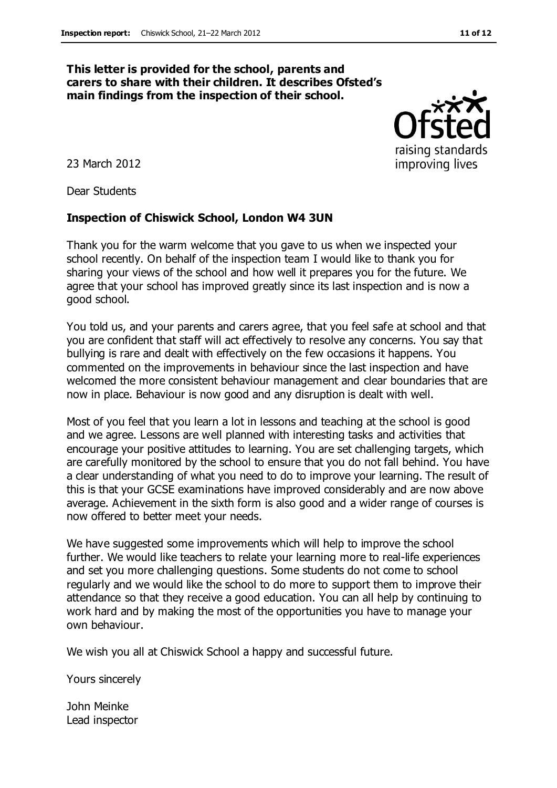#### **This letter is provided for the school, parents and carers to share with their children. It describes Ofsted's main findings from the inspection of their school.**

23 March 2012

Dear Students

#### **Inspection of Chiswick School, London W4 3UN**

Thank you for the warm welcome that you gave to us when we inspected your school recently. On behalf of the inspection team I would like to thank you for sharing your views of the school and how well it prepares you for the future. We agree that your school has improved greatly since its last inspection and is now a good school.

You told us, and your parents and carers agree, that you feel safe at school and that you are confident that staff will act effectively to resolve any concerns. You say that bullying is rare and dealt with effectively on the few occasions it happens. You commented on the improvements in behaviour since the last inspection and have welcomed the more consistent behaviour management and clear boundaries that are now in place. Behaviour is now good and any disruption is dealt with well.

Most of you feel that you learn a lot in lessons and teaching at the school is good and we agree. Lessons are well planned with interesting tasks and activities that encourage your positive attitudes to learning. You are set challenging targets, which are carefully monitored by the school to ensure that you do not fall behind. You have a clear understanding of what you need to do to improve your learning. The result of this is that your GCSE examinations have improved considerably and are now above average. Achievement in the sixth form is also good and a wider range of courses is now offered to better meet your needs.

We have suggested some improvements which will help to improve the school further. We would like teachers to relate your learning more to real-life experiences and set you more challenging questions. Some students do not come to school regularly and we would like the school to do more to support them to improve their attendance so that they receive a good education. You can all help by continuing to work hard and by making the most of the opportunities you have to manage your own behaviour.

We wish you all at Chiswick School a happy and successful future.

Yours sincerely

John Meinke Lead inspector